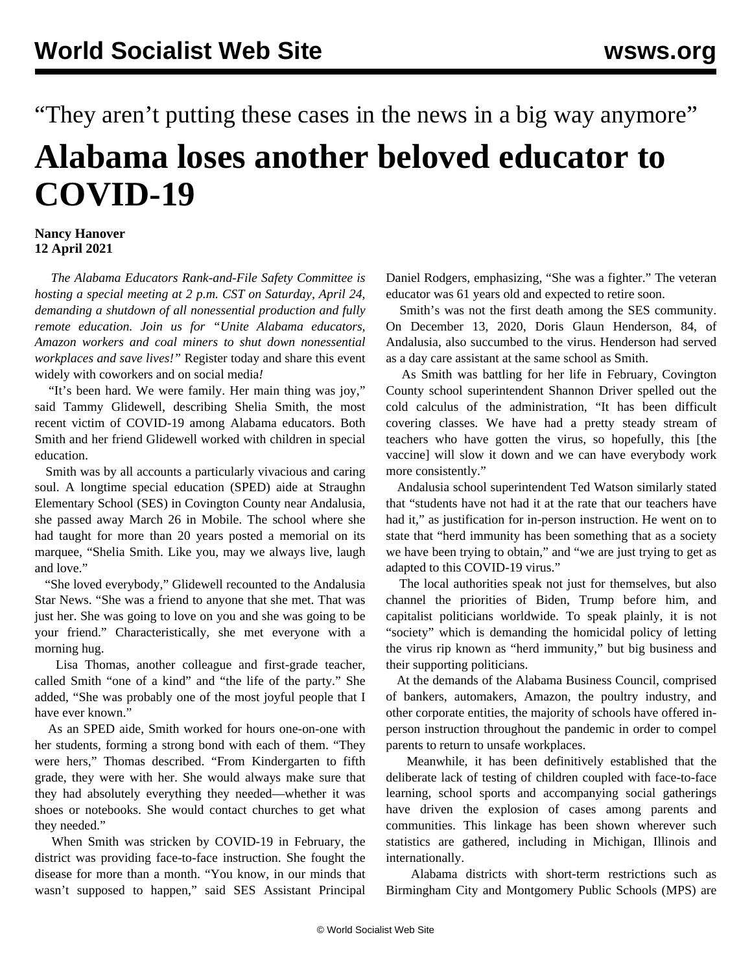## "They aren't putting these cases in the news in a big way anymore" **Alabama loses another beloved educator to COVID-19**

## **Nancy Hanover 12 April 2021**

 *The Alabama Educators Rank-and-File Safety Committee is hosting a special meeting at 2 p.m. CST on Saturday, April 24, demanding a shutdown of all nonessential production and fully remote education. Join us for "Unite Alabama educators, Amazon workers and coal miners to shut down nonessential workplaces and save lives!"* [Register today and share this event](https://attendee.gotowebinar.com/register/9163063138840029709) [widely with coworkers and on social media](https://attendee.gotowebinar.com/register/9163063138840029709)*!*

 "It's been hard. We were family. Her main thing was joy," said Tammy Glidewell, describing Shelia Smith, the most recent victim of COVID-19 among Alabama educators. Both Smith and her friend Glidewell worked with children in special education.

 Smith was by all accounts a particularly vivacious and caring soul. A longtime special education (SPED) aide at Straughn Elementary School (SES) in Covington County near Andalusia, she passed away March 26 in Mobile. The school where she had taught for more than 20 years posted a memorial on its marquee, "Shelia Smith. Like you, may we always live, laugh and love."

 "She loved everybody," Glidewell recounted to the Andalusia Star News. "She was a friend to anyone that she met. That was just her. She was going to love on you and she was going to be your friend." Characteristically, she met everyone with a morning hug.

 Lisa Thomas, another colleague and first-grade teacher, called Smith "one of a kind" and "the life of the party." She added, "She was probably one of the most joyful people that I have ever known"

 As an SPED aide, Smith worked for hours one-on-one with her students, forming a strong bond with each of them. "They were hers," Thomas described. "From Kindergarten to fifth grade, they were with her. She would always make sure that they had absolutely everything they needed—whether it was shoes or notebooks. She would contact churches to get what they needed."

 When Smith was stricken by COVID-19 in February, the district was providing face-to-face instruction. She fought the disease for more than a month. "You know, in our minds that wasn't supposed to happen," said SES Assistant Principal Daniel Rodgers, emphasizing, "She was a fighter." The veteran educator was 61 years old and expected to retire soon.

 Smith's was not the first death among the SES community. On December 13, 2020, Doris Glaun Henderson, 84, of Andalusia, also succumbed to the virus. Henderson had served as a day care assistant at the same school as Smith.

 As Smith was battling for her life in February, Covington County school superintendent Shannon Driver spelled out the cold calculus of the administration, "It has been difficult covering classes. We have had a pretty steady stream of teachers who have gotten the virus, so hopefully, this [the vaccine] will slow it down and we can have everybody work more consistently."

 Andalusia school superintendent Ted Watson similarly stated that "students have not had it at the rate that our teachers have had it," as justification for in-person instruction. He went on to state that "herd immunity has been something that as a society we have been trying to obtain," and "we are just trying to get as adapted to this COVID-19 virus."

 The local authorities speak not just for themselves, but also channel the priorities of Biden, Trump before him, and capitalist politicians worldwide. To speak plainly, it is not "society" which is demanding the homicidal policy of letting the virus rip known as "herd immunity," but big business and their supporting politicians.

 At the demands of the Alabama Business Council, comprised of bankers, automakers, Amazon, the poultry industry, and other corporate entities, the majority of schools have offered inperson instruction throughout the pandemic in order to compel parents to return to unsafe workplaces.

 Meanwhile, it has been definitively established that the deliberate lack of testing of children coupled with face-to-face learning, school sports and accompanying social gatherings have driven the explosion of cases among parents and communities. This linkage has been shown wherever such statistics are gathered, including in [Michigan,](/en/articles/2021/03/22/mich-m22.html) [Illinois](/en/articles/2021/03/15/chic-m15.html) and [internationally.](/en/articles/2021/04/09/netw-a09.html)

 Alabama districts with short-term restrictions such as Birmingham City and Montgomery Public Schools (MPS) are